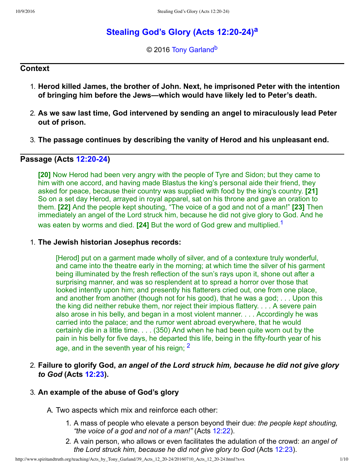# **Ste[a](#page-9-0)ling God's Glory (Acts 12:20-24)**<sup>a</sup>

<span id="page-0-3"></span><span id="page-0-2"></span><span id="page-0-0"></span>© 2016 [Tony Garland](http://www.spiritandtruth.org/id/tg.htm)<sup>[b](#page-9-1)</sup>

## **Context**

- 1. **Herod killed James, the brother of John. Next, he imprisoned Peter with the intention of bringing him before the Jews—which would have likely led to Peter's death.**
- 2. **As we saw last time, God intervened by sending an angel to miraculously lead Peter out of prison.**
- 3. **The passage continues by describing the vanity of Herod and his unpleasant end.**

## **Passage (Acts 12:20-24)**

**[20]** Now Herod had been very angry with the people of Tyre and Sidon; but they came to him with one accord, and having made Blastus the king's personal aide their friend, they asked for peace, because their country was supplied with food by the king's country. **[21]** So on a set day Herod, arrayed in royal apparel, sat on his throne and gave an oration to them. **[22]** And the people kept shouting, "The voice of a god and not of a man!" **[23]** Then immediately an angel of the Lord struck him, because he did not give glory to God. And he was eaten by worms and died. **[24]** But the word of God grew and multiplied.[1](#page-8-0)

## 1. **The Jewish historian Josephus records:**

[Herod] put on a garment made wholly of silver, and of a contexture truly wonderful, and came into the theatre early in the morning; at which time the silver of his garment being illuminated by the fresh reflection of the sun's rays upon it, shone out after a surprising manner, and was so resplendent at to spread a horror over those that looked intently upon him; and presently his flatterers cried out, one from one place, and another from another (though not for his good), that he was a god; . . . Upon this the king did neither rebuke them, nor reject their impious flattery. . . . A severe pain also arose in his belly, and began in a most violent manner. . . . Accordingly he was carried into the palace; and the rumor went abroad everywhere, that he would certainly die in a little time. . . . (350) And when he had been quite worn out by the pain in his belly for five days, he departed this life, being in the fifty-fourth year of his age, and in the seventh year of his reign;  $<sup>2</sup>$  $<sup>2</sup>$  $<sup>2</sup>$ </sup>

2. **Failure to glorify God,** *an angel of the Lord struck him, because he did not give glory to God* **(Acts [12:23](http://www.spiritandtruth.org/bibles/nasb/b44c012.htm#Acts_C12V23)).**

## 3. **An example of the abuse of God's glory**

A. Two aspects which mix and reinforce each other:

- <span id="page-0-1"></span>1. A mass of people who elevate a person beyond their due: *the people kept shouting, "the voice of a god and not of a man!"* (Acts [12:22\)](http://www.spiritandtruth.org/bibles/nasb/b44c012.htm#Acts_C12V22).
- 2. A vain person, who allows or even facilitates the adulation of the crowd: *an angel of the Lord struck him, because he did not give glory to God* (Acts [12:23\)](http://www.spiritandtruth.org/bibles/nasb/b44c012.htm#Acts_C12V23).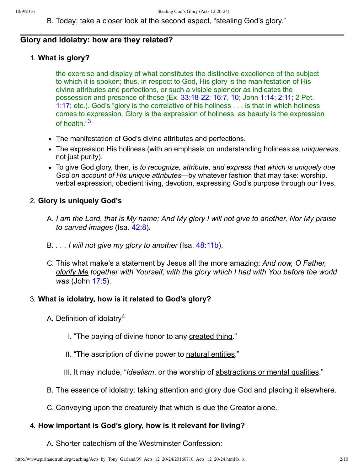B. Today: take a closer look at the second aspect, "stealing God's glory."

### **Glory and idolatry: how are they related?**

### 1. **What is glory?**

the exercise and display of what constitutes the distinctive excellence of the subject to which it is spoken; thus, in respect to God, His glory is the manifestation of His divine attributes and perfections, or such a visible splendor as indicates the possession and presence of these (Ex. [33:1822;](http://www.spiritandtruth.org/bibles/nasb/b02c033.htm#Ex._C33V18) [16:7,](http://www.spiritandtruth.org/bibles/nasb/b02c016.htm#Ex._C16V7) [10;](http://www.spiritandtruth.org/bibles/nasb/b02c016.htm#Ex._C16V10) John [1:14](http://www.spiritandtruth.org/bibles/nasb/b43c001.htm#John_C1V14); [2:11](http://www.spiritandtruth.org/bibles/nasb/b43c002.htm#John_C2V11); 2 Pet. [1:17](http://www.spiritandtruth.org/bibles/nasb/b61c001.htm#2Pe._C1V17); etc.). God's "glory is the correlative of his holiness . . . is that in which holiness comes to expression. Glory is the expression of holiness, as beauty is the expression of health."[3](#page-8-2)

- <span id="page-1-0"></span>The manifestation of God's divine attributes and perfections.
- The expression His holiness (with an emphasis on understanding holiness as *uniqueness*, not just purity).
- To give God glory, then, is *to recognize, attribute, and express that which is uniquely due God on account of His unique attributes*—by whatever fashion that may take: worship, verbal expression, obedient living, devotion, expressing God's purpose through our lives.

## 2. **Glory is uniquely God's**

- A. *I am the Lord, that is My name; And My glory I will not give to another, Nor My praise to carved images* (Isa. [42:8](http://www.spiritandtruth.org/bibles/nasb/b23c042.htm#Isa._C42V8)).
- B. *. . . I will not give my glory to another* (Isa. [48:11b\)](http://www.spiritandtruth.org/bibles/nasb/b23c048.htm#Isa._C48V11).
- C. This what make's a statement by Jesus all the more amazing: *And now, O Father, glorify Me together with Yourself, with the glory which I had with You before the world was* (John [17:5\)](http://www.spiritandtruth.org/bibles/nasb/b43c017.htm#John_C17V5).

### 3. **What is idolatry, how is it related to God's glory?**

- <span id="page-1-1"></span>A. Definition of idolatry<sup>[4](#page-8-3)</sup>
	- I. "The paying of divine honor to any created thing."
	- II. "The ascription of divine power to natural entities."
	- III. It may include, "*idealism*, or the worship of abstractions or mental qualities."
- B. The essence of idolatry: taking attention and glory due God and placing it elsewhere.
- C. Conveying upon the creaturely that which is due the Creator alone.

### 4. **How important is God's glory, how is it relevant for living?**

A. Shorter catechism of the Westminster Confession: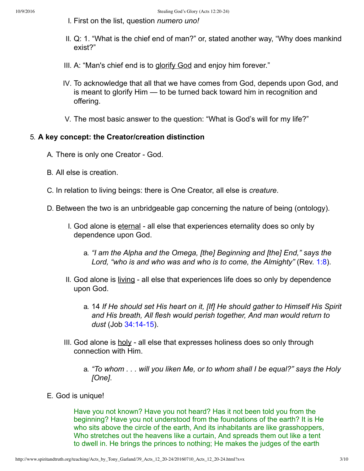- I. First on the list, question *numero uno!*
- II. Q: 1. "What is the chief end of man?" or, stated another way, "Why does mankind exist?"
- III. A: "Man's chief end is to glorify God and enjoy him forever."
- IV. To acknowledge that all that we have comes from God, depends upon God, and is meant to glorify Him — to be turned back toward him in recognition and offering.
- V. The most basic answer to the question: "What is God's will for my life?"

## 5. **A key concept: the Creator/creation distinction**

- A. There is only one Creator God.
- B. All else is creation.
- C. In relation to living beings: there is One Creator, all else is *creature*.
- D. Between the two is an unbridgeable gap concerning the nature of being (ontology).
	- I. God alone is eternal all else that experiences eternality does so only by dependence upon God.
		- a. *"I am the Alpha and the Omega, [the] Beginning and [the] End," says the Lord, "who is and who was and who is to come, the Almighty"* (Rev. [1:8\)](http://www.spiritandtruth.org/bibles/nasb/b66c001.htm#Rev._C1V8).
	- II. God alone is living all else that experiences life does so only by dependence upon God.
		- a. 14 *If He should set His heart on it, [If] He should gather to Himself His Spirit and His breath, All flesh would perish together, And man would return to dust* (Job 34:14-15).
	- III. God alone is holy all else that expresses holiness does so only through connection with Him.
		- a. *"To whom . . . will you liken Me, or to whom shall I be equal?" says the Holy [One]*.
- E. God is unique!

Have you not known? Have you not heard? Has it not been told you from the beginning? Have you not understood from the foundations of the earth? It is He who sits above the circle of the earth, And its inhabitants are like grasshoppers, Who stretches out the heavens like a curtain, And spreads them out like a tent to dwell in. He brings the princes to nothing; He makes the judges of the earth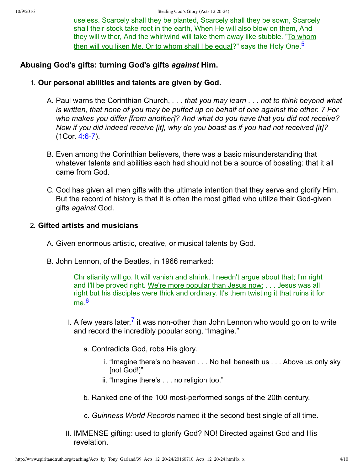<span id="page-3-0"></span>useless. Scarcely shall they be planted, Scarcely shall they be sown, Scarcely shall their stock take root in the earth, When He will also blow on them, And they will wither, And the whirlwind will take them away like stubble. "To whom then will you liken Me, Or to whom shall I be equal?" says the Holy One.<sup>[5](#page-8-4)</sup>

## **Abusing God's gifts: turning God's gifts** *against* **Him.**

- 1. **Our personal abilities and talents are given by God.**
	- A. Paul warns the Corinthian Church, *. . . that you may learn . . . not to think beyond what is written, that none of you may be puffed up on behalf of one against the other. 7 For who makes you differ [from another]? And what do you have that you did not receive? Now if you did indeed receive [it], why do you boast as if you had not received [it]?*  $(1Cor. 4:6-7)$ .
	- B. Even among the Corinthian believers, there was a basic misunderstanding that whatever talents and abilities each had should not be a source of boasting: that it all came from God.
	- C. God has given all men gifts with the ultimate intention that they serve and glorify Him. But the record of history is that it is often the most gifted who utilize their God-given gifts *against* God.

### 2. **Gifted artists and musicians**

- A. Given enormous artistic, creative, or musical talents by God.
- B. John Lennon, of the Beatles, in 1966 remarked:

<span id="page-3-1"></span>Christianity will go. It will vanish and shrink. I needn't argue about that; I'm right and I'll be proved right. We're more popular than Jesus now; . . . Jesus was all right but his disciples were thick and ordinary. It's them twisting it that ruins it for  $me<sup>6</sup>$  $me<sup>6</sup>$  $me<sup>6</sup>$ 

- <span id="page-3-2"></span>I. A few years later,<sup>[7](#page-8-6)</sup> it was non-other than John Lennon who would go on to write and record the incredibly popular song, "Imagine."
	- a. Contradicts God, robs His glory.
		- i. "Imagine there's no heaven . . . No hell beneath us . . . Above us only sky [not God!]"
		- ii. "Imagine there's . . . no religion too."
	- b. Ranked one of the 100 most-performed songs of the 20th century.
	- c. *Guinness World Records* named it the second best single of all time.
- II. IMMENSE gifting: used to glorify God? NO! Directed against God and His revelation.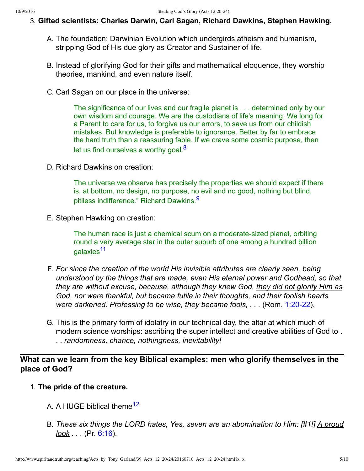#### 3. **Gifted scientists: Charles Darwin, Carl Sagan, Richard Dawkins, Stephen Hawking.**

- A. The foundation: Darwinian Evolution which undergirds atheism and humanism, stripping God of His due glory as Creator and Sustainer of life.
- B. Instead of glorifying God for their gifts and mathematical eloquence, they worship theories, mankind, and even nature itself.
- C. Carl Sagan on our place in the universe:

The significance of our lives and our fragile planet is . . . determined only by our own wisdom and courage. We are the custodians of life's meaning. We long for a Parent to care for us, to forgive us our errors, to save us from our childish mistakes. But knowledge is preferable to ignorance. Better by far to embrace the hard truth than a reassuring fable. If we crave some cosmic purpose, then let us find ourselves a worthy goal. $8$ 

D. Richard Dawkins on creation:

<span id="page-4-1"></span><span id="page-4-0"></span>The universe we observe has precisely the properties we should expect if there is, at bottom, no design, no purpose, no evil and no good, nothing but blind, pitiless indifference." Richard Dawkins.<sup>[9](#page-8-8)</sup>

E. Stephen Hawking on creation:

<span id="page-4-2"></span>The human race is just a chemical scum on a moderate-sized planet, orbiting round a very average star in the outer suburb of one among a hundred billion galaxies<sup>[11](#page-8-9)</sup>

- F. *For since the creation of the world His invisible attributes are clearly seen, being understood by the things that are made, even His eternal power and Godhead, so that they are without excuse, because, although they knew God, they did not glorify Him as God, nor were thankful, but became futile in their thoughts, and their foolish hearts were darkened. Professing to be wise, they became fools, ...* (Rom. 1:20-22).
- G. This is the primary form of idolatry in our technical day, the altar at which much of modern science worships: ascribing the super intellect and creative abilities of God to . . . *randomness, chance, nothingness, inevitability!*

## **What can we learn from the key Biblical examples: men who glorify themselves in the place of God?**

- <span id="page-4-3"></span>1. **The pride of the creature.**
	- A. A HUGE biblical theme<sup>[12](#page-8-10)</sup>
	- B. *These six things the LORD hates, Yes, seven are an abomination to Him: [#1!] A proud look . . .* (Pr. [6:16](http://www.spiritandtruth.org/bibles/nasb/b20c006.htm#Pr._C6V16)).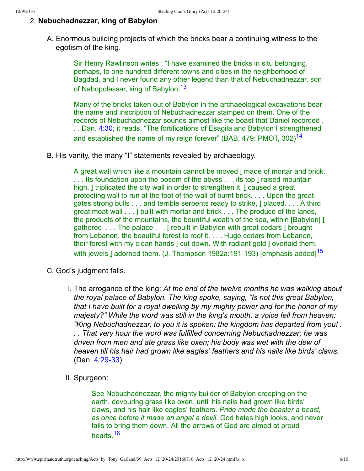## 2. **Nebuchadnezzar, king of Babylon**

A. Enormous building projects of which the bricks bear a continuing witness to the egotism of the king.

> Sir Henry Rawlinson writes : "I have examined the bricks in situ belonging, perhaps, to one hundred different towns and cities in the neighborhood of Bagdad, and I never found any other legend than that of Nebuchadnezzar, son of Nabopolassar, king of Babylon.<sup>[13](#page-9-2)</sup>

> <span id="page-5-1"></span><span id="page-5-0"></span>Many of the bricks taken out of Babylon in the archaeological excavations bear the name and inscription of Nebuchadnezzar stamped on them. One of the records of Nebuchadnezzar sounds almost like the boast that Daniel recorded . . . Dan. [4:30](http://www.spiritandtruth.org/bibles/nasb/b27c004.htm#Dan._C4V30); it reads, "The fortifications of Esagila and Babylon I strengthened and established the name of my reign forever" (BAB, 479: PMOT, 302)<sup>[14](#page-9-3)</sup>

B. His vanity, the many "I" statements revealed by archaeology.

<span id="page-5-2"></span>A great wall which like a mountain cannot be moved I made of mortar and brick. ... Its foundation upon the bosom of the abyss ... its top I raised mountain high. I triplicated the city wall in order to strengthen it, I caused a great protecting wall to run at the foot of the wall of burnt brick. . . . Upon the great gates strong bulls . . . and terrible serpents ready to strike, I placed. . . . A third great moat-wall  $\dots$  built with mortar and brick  $\dots$  The produce of the lands, the products of the mountains, the bountiful wealth of the sea, within [Babylon] [ gathered. . . . The palace . . . I rebuilt in Babylon with great cedars I brought from Lebanon, the beautiful forest to roof it. . . . Huge cedars from Lebanon, their forest with my clean hands I cut down. With radiant gold I overlaid them, with jewels I adorned them. (J. Thompson 1982a:191-193) [emphasis added]<sup>[15](#page-9-4)</sup>

- C. God's judgment falls.
	- I. The arrogance of the king: *At the end of the twelve months he was walking about the royal palace of Babylon. The king spoke, saying, "Is not this great Babylon, that I have built for a royal dwelling by my mighty power and for the honor of my majesty?" While the word was still in the king's mouth, a voice fell from heaven: "King Nebuchadnezzar, to you it is spoken: the kingdom has departed from you! . . . That very hour the word was fulfilled concerning Nebuchadnezzar; he was driven from men and ate grass like oxen; his body was wet with the dew of heaven till his hair had grown like eagles' feathers and his nails like birds' claws.*  $(Dan. 4:29-33)$
	- II. Spurgeon:

<span id="page-5-3"></span>See Nebuchadnezzar, the mighty builder of Babylon creeping on the earth, devouring grass like oxen, until his nails had grown like birds' claws, and his hair like eagles' feathers. *Pride made the boaster a beast, as once before it made an angel a devil.* God hates high looks, and never fails to bring them down. All the arrows of God are aimed at proud hearts<sup>[16](#page-9-5)</sup>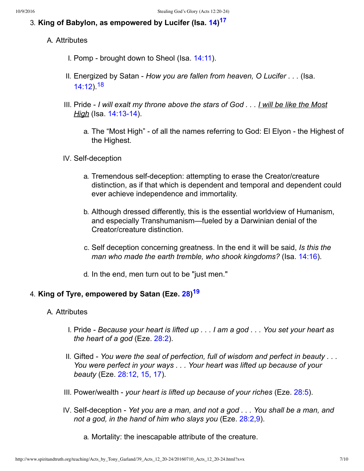## 3. **King of Babylon, as empowered by Lucifer (Isa. [14](http://www.spiritandtruth.org/bibles/nasb/b23c014.htm#Isa._C14V1)) [17](#page-9-6)**

## A. Attributes

- <span id="page-6-0"></span>I. Pomp - brought down to Sheol (Isa.  $14:11$ ).
- <span id="page-6-1"></span>II. Energized by Satan *How you are fallen from heaven, O Lucifer . . .* (Isa. [14:12\)](http://www.spiritandtruth.org/bibles/nasb/b23c014.htm#Isa._C14V12).[18](#page-9-7)
- III. Pride *I will exalt my throne above the stars of God . . . I will be like the Most High* (Isa. 14:13-14).
	- a. The "Most High" of all the names referring to God: El Elyon the Highest of the Highest.

## IV. Self-deception

- a. Tremendous self-deception: attempting to erase the Creator/creature distinction, as if that which is dependent and temporal and dependent could ever achieve independence and immortality.
- b. Although dressed differently, this is the essential worldview of Humanism, and especially Transhumanism—fueled by a Darwinian denial of the Creator/creature distinction.
- c. Self deception concerning greatness. In the end it will be said, *Is this the man who made the earth tremble, who shook kingdoms?* (Isa. [14:16\)](http://www.spiritandtruth.org/bibles/nasb/b23c014.htm#Isa._C14V16).
- <span id="page-6-2"></span>d. In the end, men turn out to be "just men."

## 4. **King of Tyre, empowered by Satan (Eze. [28](http://www.spiritandtruth.org/bibles/nasb/b26c028.htm#Eze._C28V1)) [19](#page-9-8)**

### A. Attributes

- I. Pride *Because your heart is lifted up . . . I am a god . . . You set your heart as the heart of a god* (Eze. [28:2\)](http://www.spiritandtruth.org/bibles/nasb/b26c028.htm#Eze._C28V2).
- II. Gifted *You were the seal of perfection, full of wisdom and perfect in beauty . . . You were perfect in your ways . . . Your heart was lifted up because of your beauty* (Eze. [28:12,](http://www.spiritandtruth.org/bibles/nasb/b26c028.htm#Eze._C28V12) [15,](http://www.spiritandtruth.org/bibles/nasb/b26c028.htm#Eze._C28V15) [17\)](http://www.spiritandtruth.org/bibles/nasb/b26c028.htm#Eze._C28V17).
- III. Power/wealth *your heart is lifted up because of your riches* (Eze. [28:5](http://www.spiritandtruth.org/bibles/nasb/b26c028.htm#Eze._C28V5)).
- IV. Self-deception Yet you are a man, and not a god . . . You shall be a man, and *not a god, in the hand of him who slays you* (Eze. [28:2](http://www.spiritandtruth.org/bibles/nasb/b26c028.htm#Eze._C28V2),[9\)](http://www.spiritandtruth.org/bibles/nasb/b26c028.htm#Eze._C28V9).
	- a. Mortality: the inescapable attribute of the creature.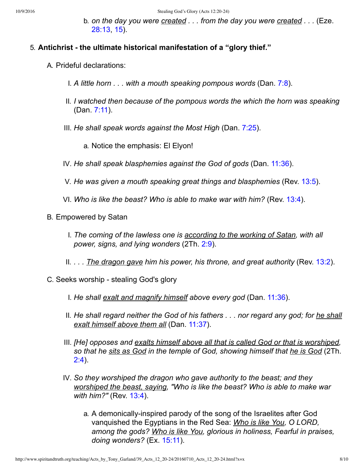b. *on the day you were created . . . from the day you were created . . .* (Eze. [28:13,](http://www.spiritandtruth.org/bibles/nasb/b26c028.htm#Eze._C28V13) [15\)](http://www.spiritandtruth.org/bibles/nasb/b26c028.htm#Eze._C28V15).

#### 5. **Antichrist the ultimate historical manifestation of a "glory thief."**

- A. Prideful declarations:
	- I. *A little horn . . . with a mouth speaking pompous words* (Dan. [7:8\)](http://www.spiritandtruth.org/bibles/nasb/b27c007.htm#Dan._C7V8).
	- II. *I watched then because of the pompous words the which the horn was speaking* (Dan. [7:11\)](http://www.spiritandtruth.org/bibles/nasb/b27c007.htm#Dan._C7V11).
	- III. *He shall speak words against the Most High* (Dan. [7:25\)](http://www.spiritandtruth.org/bibles/nasb/b27c007.htm#Dan._C7V25).
		- a. Notice the emphasis: El Elyon!
	- IV. *He shall speak blasphemies against the God of gods* (Dan. [11:36\)](http://www.spiritandtruth.org/bibles/nasb/b27c011.htm#Dan._C11V36).
	- V. *He was given a mouth speaking great things and blasphemies* (Rev. [13:5\)](http://www.spiritandtruth.org/bibles/nasb/b66c013.htm#Rev._C13V5).
	- VI. *Who is like the beast? Who is able to make war with him?* (Rev. [13:4](http://www.spiritandtruth.org/bibles/nasb/b66c013.htm#Rev._C13V4)).
- B. Empowered by Satan
	- I. *The coming of the lawless one is according to the working of Satan, with all power, signs, and lying wonders* (2Th. [2:9\)](http://www.spiritandtruth.org/bibles/nasb/b53c002.htm#2Th._C2V9).
	- II. *. . . The dragon gave him his power, his throne, and great authority* (Rev. [13:2](http://www.spiritandtruth.org/bibles/nasb/b66c013.htm#Rev._C13V2)).
- C. Seeks worship stealing God's glory
	- I. *He shall exalt and magnify himself above every god* (Dan. [11:36\)](http://www.spiritandtruth.org/bibles/nasb/b27c011.htm#Dan._C11V36).
	- II. *He shall regard neither the God of his fathers . . . nor regard any god; for he shall exalt himself above them all* (Dan. [11:37](http://www.spiritandtruth.org/bibles/nasb/b27c011.htm#Dan._C11V37)).
	- III. *[He] opposes and exalts himself above all that is called God or that is worshiped, so that he sits as God in the temple of God, showing himself that he is God* (2Th. [2:4](http://www.spiritandtruth.org/bibles/nasb/b53c002.htm#2Th._C2V4)).
	- IV. *So they worshiped the dragon who gave authority to the beast; and they worshiped the beast, saying, "Who is like the beast? Who is able to make war with him?"* (Rev. [13:4\)](http://www.spiritandtruth.org/bibles/nasb/b66c013.htm#Rev._C13V4).
		- a. A demonically-inspired parody of the song of the Israelites after God vanquished the Egyptians in the Red Sea: *Who is like You, O LORD, among the gods? Who is like You, glorious in holiness, Fearful in praises, doing wonders?* (Ex. [15:11](http://www.spiritandtruth.org/bibles/nasb/b02c015.htm#Ex._C15V11)).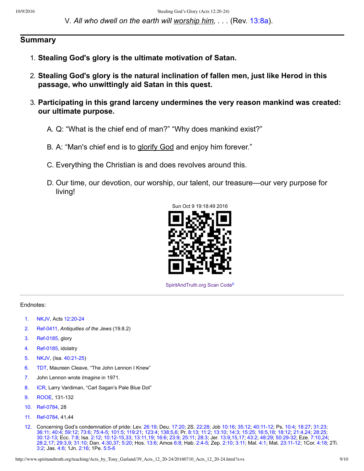V. *All who dwell on the earth will worship him, . . .* (Rev. [13:8a](http://www.spiritandtruth.org/bibles/nasb/b66c013.htm#Rev._C13V8)).

## **Summary**

- 1. **Stealing God's glory is the ultimate motivation of Satan.**
- 2. **Stealing God's glory is the natural inclination of fallen men, just like Herod in this passage, who unwittingly aid Satan in this quest.**
- 3. **Participating in this grand larceny undermines the very reason mankind was created: our ultimate purpose.**
	- A. Q: "What is the chief end of man?" "Why does mankind exist?"
	- B. A: "Man's chief end is to glorify God and enjoy him forever."
	- C. Everything the Christian is and does revolves around this.
	- D. Our time, our devotion, our worship, our talent, our treasure—our very purpose for living!



<span id="page-8-11"></span>[SpiritAndTruth.org Scan Code](http://www.spiritandtruth.org/)<sup>[c](#page-9-9)</sup>

#### Endnotes:

- <span id="page-8-0"></span>[1.](#page-0-0) [NKJV,](#page-9-10) Acts 12:20-24
- <span id="page-8-1"></span>[2.](#page-0-1) Ref-0411, *Antiquities of the Jews* (19.8.2)
- <span id="page-8-2"></span>[3.](#page-1-0) Ref-0185, glory
- <span id="page-8-3"></span>[4.](#page-1-1) Ref-0185, idolatry
- <span id="page-8-4"></span>[5.](#page-3-0) [NKJV,](#page-9-10) (Isa. 40:21-25)
- <span id="page-8-5"></span>[6.](#page-3-1) [TDT](#page-9-13), Maureen Cleave, "The John Lennon I Knew"
- <span id="page-8-6"></span>[7.](#page-3-2) John Lennon wrote *Imagine* in 1971.
- <span id="page-8-7"></span>[8.](#page-4-0) [ICR,](#page-9-14) Larry Vardiman, "Carl Sagan's Pale Blue Dot"
- <span id="page-8-8"></span>[9.](#page-4-1) [ROOE](#page-9-15), 131-132
- 10. Ref-0784, 28
- <span id="page-8-9"></span>[11.](#page-4-2) Ref-0784, 41,44
- <span id="page-8-10"></span>[12.](#page-4-3) Concerning God's condemnation of pride: Lev. [26:19;](http://www.spiritandtruth.org/bibles/nasb/b03c026.htm#Lev._C26V19) Deu. [17:20](http://www.spiritandtruth.org/bibles/nasb/b05c017.htm#Deu._C17V20); 2S. [22:28](http://www.spiritandtruth.org/bibles/nasb/b10c022.htm#2S._C22V28); Job [10:16](http://www.spiritandtruth.org/bibles/nasb/b18c010.htm#Job_C10V16); [35:12](http://www.spiritandtruth.org/bibles/nasb/b18c035.htm#Job_C35V12); [40:1112;](http://www.spiritandtruth.org/bibles/nasb/b18c040.htm#Job_C40V11) Ps. [10:4](http://www.spiritandtruth.org/bibles/nasb/b19c010.htm#Ps._C10V4); [18:27;](http://www.spiritandtruth.org/bibles/nasb/b19c018.htm#Ps._C18V27) [31:23](http://www.spiritandtruth.org/bibles/nasb/b19c031.htm#Ps._C31V23); [36:11;](http://www.spiritandtruth.org/bibles/nasb/b19c036.htm#Ps._C36V11) [40:4;](http://www.spiritandtruth.org/bibles/nasb/b19c040.htm#Ps._C40V4) [59:12;](http://www.spiritandtruth.org/bibles/nasb/b19c059.htm#Ps._C59V12) [73:6;](http://www.spiritandtruth.org/bibles/nasb/b19c073.htm#Ps._C73V6) [75:45;](http://www.spiritandtruth.org/bibles/nasb/b19c075.htm#Ps._C75V4) [101:5](http://www.spiritandtruth.org/bibles/nasb/b19c101.htm#Ps._C101V5); [119:21;](http://www.spiritandtruth.org/bibles/nasb/b19c119.htm#Ps._C119V21) [123:4](http://www.spiritandtruth.org/bibles/nasb/b19c123.htm#Ps._C123V4); [138:5](http://www.spiritandtruth.org/bibles/nasb/b19c138.htm#Ps._C138V5)[,6;](http://www.spiritandtruth.org/bibles/nasb/b19c138.htm#Ps._C138V6) Pr. [8:13;](http://www.spiritandtruth.org/bibles/nasb/b20c008.htm#Pr._C8V13) [11:2;](http://www.spiritandtruth.org/bibles/nasb/b20c011.htm#Pr._C11V2) [13:10;](http://www.spiritandtruth.org/bibles/nasb/b20c013.htm#Pr._C13V10) [14:3;](http://www.spiritandtruth.org/bibles/nasb/b20c014.htm#Pr._C14V3) [15:25;](http://www.spiritandtruth.org/bibles/nasb/b20c015.htm#Pr._C15V25) [16:5,](http://www.spiritandtruth.org/bibles/nasb/b20c016.htm#Pr._C16V5)[18;](http://www.spiritandtruth.org/bibles/nasb/b20c016.htm#Pr._C16V18) [18:12;](http://www.spiritandtruth.org/bibles/nasb/b20c018.htm#Pr._C18V12) [21:4,](http://www.spiritandtruth.org/bibles/nasb/b20c021.htm#Pr._C21V4)[24;](http://www.spiritandtruth.org/bibles/nasb/b20c021.htm#Pr._C21V24) [28:25;](http://www.spiritandtruth.org/bibles/nasb/b20c028.htm#Pr._C28V25) [30:1213;](http://www.spiritandtruth.org/bibles/nasb/b20c030.htm#Pr._C30V12) Ecc. [7:8;](http://www.spiritandtruth.org/bibles/nasb/b21c007.htm#Ecc._C7V8) Isa. [2:12;](http://www.spiritandtruth.org/bibles/nasb/b23c002.htm#Isa._C2V12) [10:1215](http://www.spiritandtruth.org/bibles/nasb/b23c010.htm#Isa._C10V12)[,33;](http://www.spiritandtruth.org/bibles/nasb/b23c010.htm#Isa._C10V33) [13:11](http://www.spiritandtruth.org/bibles/nasb/b23c013.htm#Isa._C13V11)[,19](http://www.spiritandtruth.org/bibles/nasb/b23c013.htm#Isa._C13V19); [16:6](http://www.spiritandtruth.org/bibles/nasb/b23c016.htm#Isa._C16V6); [23:9;](http://www.spiritandtruth.org/bibles/nasb/b23c023.htm#Isa._C23V9) [25:11;](http://www.spiritandtruth.org/bibles/nasb/b23c025.htm#Isa._C25V11) [28:3](http://www.spiritandtruth.org/bibles/nasb/b23c028.htm#Isa._C28V3); Jer. [13:9,](http://www.spiritandtruth.org/bibles/nasb/b24c013.htm#Jer._C13V9)[15,](http://www.spiritandtruth.org/bibles/nasb/b24c013.htm#Jer._C13V15)[17;](http://www.spiritandtruth.org/bibles/nasb/b24c013.htm#Jer._C13V17) [43:2;](http://www.spiritandtruth.org/bibles/nasb/b24c043.htm#Jer._C43V2) [48:29;](http://www.spiritandtruth.org/bibles/nasb/b24c048.htm#Jer._C48V29) [50:2932](http://www.spiritandtruth.org/bibles/nasb/b24c050.htm#Jer._C50V29); Eze. [7:10](http://www.spiritandtruth.org/bibles/nasb/b26c007.htm#Eze._C7V10),[24](http://www.spiritandtruth.org/bibles/nasb/b26c007.htm#Eze._C7V24); [28:2](http://www.spiritandtruth.org/bibles/nasb/b26c028.htm#Eze._C28V2)[,17](http://www.spiritandtruth.org/bibles/nasb/b26c028.htm#Eze._C28V17); [29:3](http://www.spiritandtruth.org/bibles/nasb/b26c029.htm#Eze._C29V3)[,9;](http://www.spiritandtruth.org/bibles/nasb/b26c029.htm#Eze._C29V9) [31:10;](http://www.spiritandtruth.org/bibles/nasb/b26c031.htm#Eze._C31V10) Dan. [4:30](http://www.spiritandtruth.org/bibles/nasb/b27c004.htm#Dan._C4V30),[37](http://www.spiritandtruth.org/bibles/nasb/b27c004.htm#Dan._C4V37); [5:20;](http://www.spiritandtruth.org/bibles/nasb/b27c005.htm#Dan._C5V20) Hos. [13:6;](http://www.spiritandtruth.org/bibles/nasb/b28c013.htm#Hos._C13V6) Amos [6:8;](http://www.spiritandtruth.org/bibles/nasb/b30c006.htm#Amos_C6V8) Hab. [2:45](http://www.spiritandtruth.org/bibles/nasb/b35c002.htm#Hab._C2V4); Zep. [2:10](http://www.spiritandtruth.org/bibles/nasb/b36c002.htm#Zep._C2V10); [3:11](http://www.spiritandtruth.org/bibles/nasb/b36c003.htm#Zep._C3V11); Mal. [4:1;](http://www.spiritandtruth.org/bibles/nasb/b39c004.htm#Mal._C4V1) Mat. [23:1112](http://www.spiritandtruth.org/bibles/nasb/b40c023.htm#Mat._C23V11); 1Cor. [4:18](http://www.spiritandtruth.org/bibles/nasb/b46c004.htm#1Cor._C4V18); 2Ti. [3:2;](http://www.spiritandtruth.org/bibles/nasb/b55c003.htm#2Ti._C3V2) Jas. [4:6;](http://www.spiritandtruth.org/bibles/nasb/b59c004.htm#Jas._C4V6) 1Jn. [2:16;](http://www.spiritandtruth.org/bibles/nasb/b62c002.htm#1Jn._C2V16) 1Pe. 5:5-6